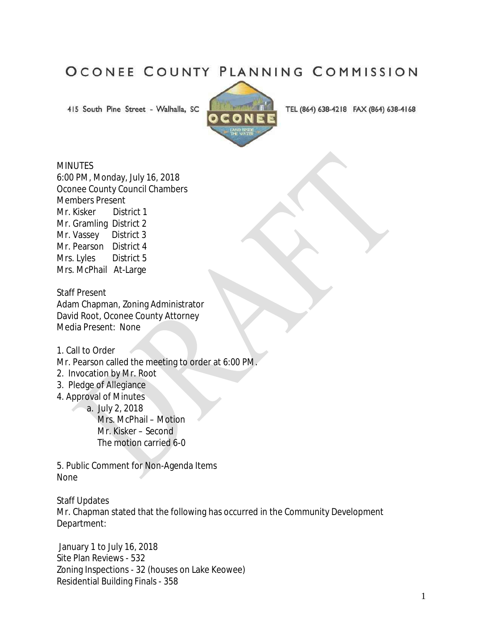## OCONEE COUNTY PLANNING COMMISSION

415 South Pine Street - Walhalla, SC



TEL (864) 638-4218 FAX (864) 638-4168

## **MINUTES**

6:00 PM, Monday, July 16, 2018 Oconee County Council Chambers Members Present Mr. Kisker District 1 Mr. Gramling District 2 Mr. Vassey District 3 Mr. Pearson District 4 Mrs. Lyles District 5 Mrs. McPhail At-Large

Staff Present Adam Chapman, Zoning Administrator David Root, Oconee County Attorney Media Present: None

1. Call to Order

Mr. Pearson called the meeting to order at 6:00 PM.

- 2. Invocation by Mr. Root
- 3. Pledge of Allegiance
- 4. Approval of Minutes

 a. July 2, 2018 Mrs. McPhail – Motion

 Mr. Kisker – Second The motion carried 6-0

5. Public Comment for Non-Agenda Items None

Staff Updates

Mr. Chapman stated that the following has occurred in the Community Development Department:

January 1 to July 16, 2018 Site Plan Reviews - 532 Zoning Inspections - 32 (houses on Lake Keowee) Residential Building Finals - 358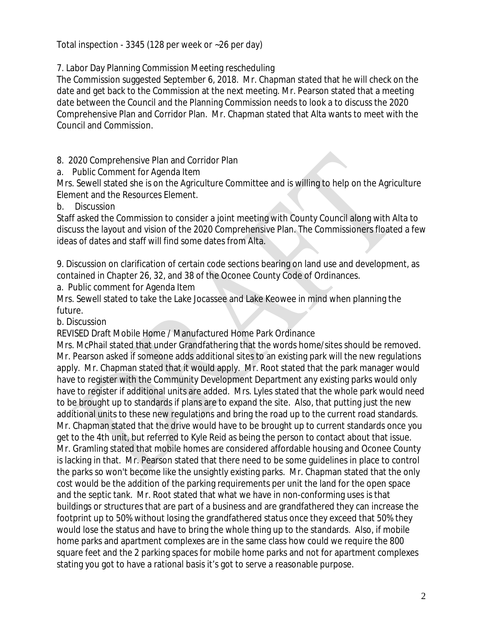Total inspection - 3345 (128 per week or ~26 per day)

7. Labor Day Planning Commission Meeting rescheduling

The Commission suggested September 6, 2018. Mr. Chapman stated that he will check on the date and get back to the Commission at the next meeting. Mr. Pearson stated that a meeting date between the Council and the Planning Commission needs to look a to discuss the 2020 Comprehensive Plan and Corridor Plan. Mr. Chapman stated that Alta wants to meet with the Council and Commission.

8. 2020 Comprehensive Plan and Corridor Plan

a. Public Comment for Agenda Item

Mrs. Sewell stated she is on the Agriculture Committee and is willing to help on the Agriculture Element and the Resources Element.

b. Discussion

Staff asked the Commission to consider a joint meeting with County Council along with Alta to discuss the layout and vision of the 2020 Comprehensive Plan. The Commissioners floated a few ideas of dates and staff will find some dates from Alta.

9. Discussion on clarification of certain code sections bearing on land use and development, as contained in Chapter 26, 32, and 38 of the Oconee County Code of Ordinances.

a. Public comment for Agenda Item

Mrs. Sewell stated to take the Lake Jocassee and Lake Keowee in mind when planning the future.

b. Discussion

REVISED Draft Mobile Home / Manufactured Home Park Ordinance

Mrs. McPhail stated that under Grandfathering that the words home/sites should be removed. Mr. Pearson asked if someone adds additional sites to an existing park will the new regulations apply. Mr. Chapman stated that it would apply. Mr. Root stated that the park manager would have to register with the Community Development Department any existing parks would only have to register if additional units are added. Mrs. Lyles stated that the whole park would need to be brought up to standards if plans are to expand the site. Also, that putting just the new additional units to these new regulations and bring the road up to the current road standards. Mr. Chapman stated that the drive would have to be brought up to current standards once you get to the 4th unit, but referred to Kyle Reid as being the person to contact about that issue. Mr. Gramling stated that mobile homes are considered affordable housing and Oconee County is lacking in that. Mr. Pearson stated that there need to be some guidelines in place to control the parks so won't become like the unsightly existing parks. Mr. Chapman stated that the only cost would be the addition of the parking requirements per unit the land for the open space and the septic tank. Mr. Root stated that what we have in non-conforming uses is that buildings or structures that are part of a business and are grandfathered they can increase the footprint up to 50% without losing the grandfathered status once they exceed that 50% they would lose the status and have to bring the whole thing up to the standards. Also, if mobile home parks and apartment complexes are in the same class how could we require the 800 square feet and the 2 parking spaces for mobile home parks and not for apartment complexes stating you got to have a rational basis it's got to serve a reasonable purpose.